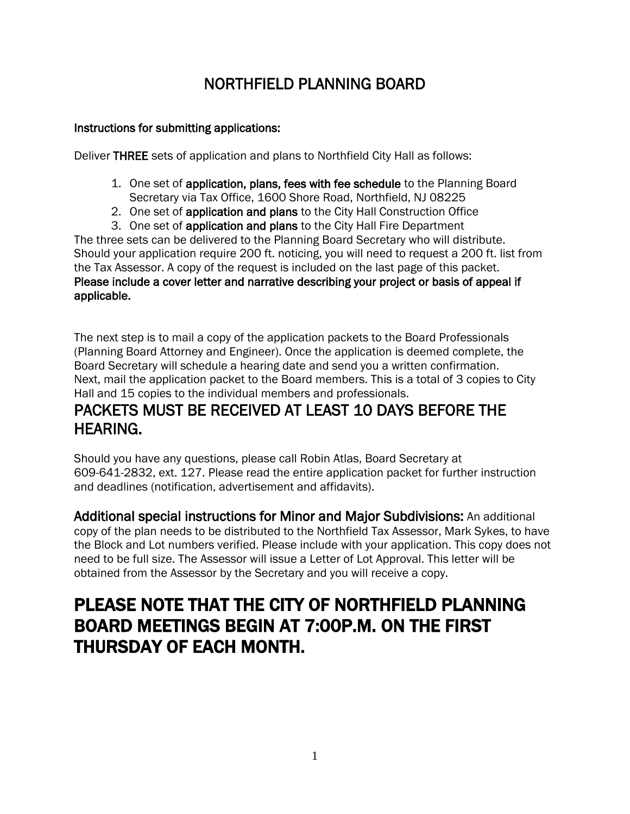# NORTHFIELD PLANNING BOARD

# Instructions for submitting applications:

Deliver THREE sets of application and plans to Northfield City Hall as follows:

- 1. One set of application, plans, fees with fee schedule to the Planning Board Secretary via Tax Office, 1600 Shore Road, Northfield, NJ 08225
- 2. One set of application and plans to the City Hall Construction Office
- 3. One set of application and plans to the City Hall Fire Department

The three sets can be delivered to the Planning Board Secretary who will distribute. Should your application require 200 ft. noticing, you will need to request a 200 ft. list from the Tax Assessor. A copy of the request is included on the last page of this packet. Please include a cover letter and narrative describing your project or basis of appeal if applicable.

The next step is to mail a copy of the application packets to the Board Professionals (Planning Board Attorney and Engineer). Once the application is deemed complete, the Board Secretary will schedule a hearing date and send you a written confirmation. Next, mail the application packet to the Board members. This is a total of 3 copies to City Hall and 15 copies to the individual members and professionals.

# PACKETS MUST BE RECEIVED AT LEAST 10 DAYS BEFORE THE HEARING.

Should you have any questions, please call Robin Atlas, Board Secretary at 609-641-2832, ext. 127. Please read the entire application packet for further instruction and deadlines (notification, advertisement and affidavits).

Additional special instructions for Minor and Major Subdivisions: An additional copy of the plan needs to be distributed to the Northfield Tax Assessor, Mark Sykes, to have the Block and Lot numbers verified. Please include with your application. This copy does not need to be full size. The Assessor will issue a Letter of Lot Approval. This letter will be obtained from the Assessor by the Secretary and you will receive a copy.

# PLEASE NOTE THAT THE CITY OF NORTHFIELD PLANNING BOARD MEETINGS BEGIN AT 7:00P.M. ON THE FIRST THURSDAY OF EACH MONTH.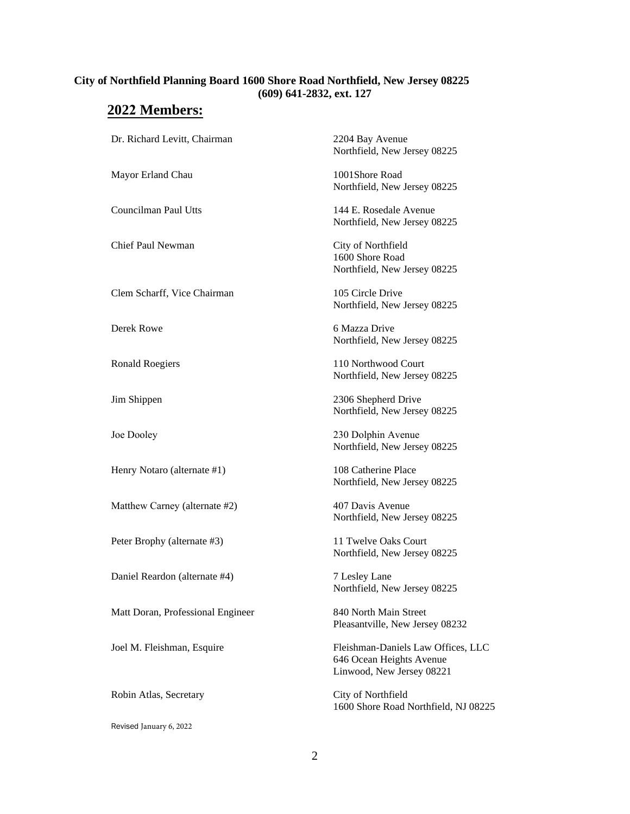#### **City of Northfield Planning Board 1600 Shore Road Northfield, New Jersey 08225 (609) 641-2832, ext. 127**

# **2022 Members:**

| Dr. Richard Levitt, Chairman      | 2204 Bay Avenue<br>Northfield, New Jersey 08225                                             |
|-----------------------------------|---------------------------------------------------------------------------------------------|
| Mayor Erland Chau                 | 1001Shore Road<br>Northfield, New Jersey 08225                                              |
| Councilman Paul Utts              | 144 E. Rosedale Avenue<br>Northfield, New Jersey 08225                                      |
| Chief Paul Newman                 | City of Northfield<br>1600 Shore Road<br>Northfield, New Jersey 08225                       |
| Clem Scharff, Vice Chairman       | 105 Circle Drive<br>Northfield, New Jersey 08225                                            |
| Derek Rowe                        | 6 Mazza Drive<br>Northfield, New Jersey 08225                                               |
| <b>Ronald Roegiers</b>            | 110 Northwood Court<br>Northfield, New Jersey 08225                                         |
| Jim Shippen                       | 2306 Shepherd Drive<br>Northfield, New Jersey 08225                                         |
| Joe Dooley                        | 230 Dolphin Avenue<br>Northfield, New Jersey 08225                                          |
| Henry Notaro (alternate #1)       | 108 Catherine Place<br>Northfield, New Jersey 08225                                         |
| Matthew Carney (alternate #2)     | 407 Davis Avenue<br>Northfield, New Jersey 08225                                            |
| Peter Brophy (alternate #3)       | 11 Twelve Oaks Court<br>Northfield, New Jersey 08225                                        |
| Daniel Reardon (alternate #4)     | 7 Lesley Lane<br>Northfield, New Jersey 08225                                               |
| Matt Doran, Professional Engineer | 840 North Main Street<br>Pleasantville, New Jersey 08232                                    |
| Joel M. Fleishman, Esquire        | Fleishman-Daniels Law Offices, LLC<br>646 Ocean Heights Avenue<br>Linwood, New Jersey 08221 |
| Robin Atlas, Secretary            | City of Northfield<br>1600 Shore Road Northfield, NJ 08225                                  |
| Revised January 6, 2022           |                                                                                             |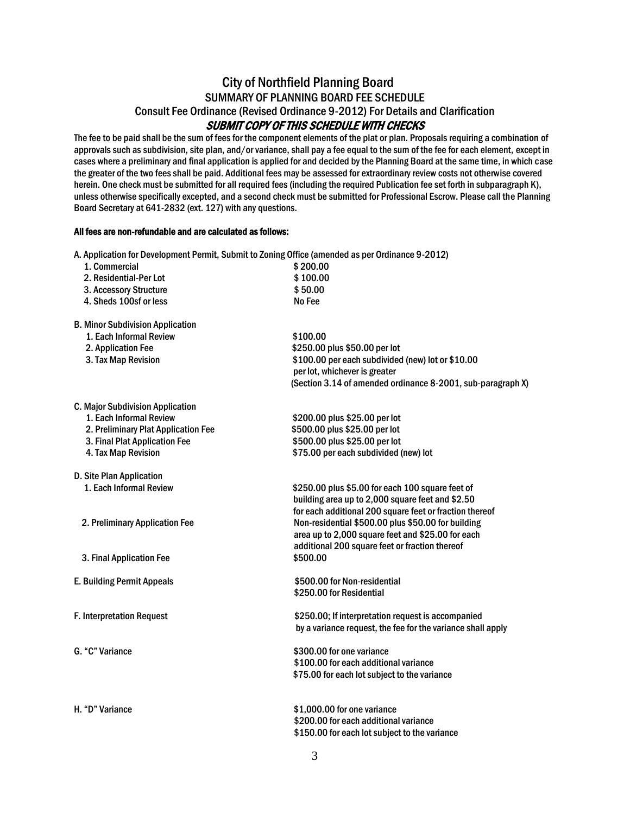# City of Northfield Planning Board SUMMARY OF PLANNING BOARD FEE SCHEDULE Consult Fee Ordinance (Revised Ordinance 9-2012) For Details and Clarification SUBMIT COPY OF THIS SCHEDULE WITH CHECKS

The fee to be paid shall be the sum of fees for the component elements of the plat or plan. Proposals requiring a combination of approvals such as subdivision, site plan, and/or variance, shall pay a fee equal to the sum of the fee for each element, except in cases where a preliminary and final application is applied for and decided by the Planning Board at the same time, in which case the greater of the two fees shall be paid. Additional fees may be assessed for extraordinary review costs not otherwise covered herein. One check must be submitted for all required fees (including the required Publication fee set forth in subparagraph K), unless otherwise specifically excepted, and a second check must be submitted for Professional Escrow. Please call the Planning Board Secretary at 641-2832 (ext. 127) with any questions.

#### All fees are non-refundable and are calculated as follows:

|                                         | A. Application for Development Permit, Submit to Zoning Office (amended as per Ordinance 9-2012) |
|-----------------------------------------|--------------------------------------------------------------------------------------------------|
| 1. Commercial                           | \$200.00                                                                                         |
| 2. Residential-Per Lot                  | \$100.00                                                                                         |
| 3. Accessory Structure                  | \$50.00                                                                                          |
| 4. Sheds 100sf or less                  | No Fee                                                                                           |
| <b>B. Minor Subdivision Application</b> |                                                                                                  |
| 1. Each Informal Review                 | \$100.00                                                                                         |
| 2. Application Fee                      | \$250.00 plus \$50.00 per lot                                                                    |
| 3. Tax Map Revision                     | \$100.00 per each subdivided (new) lot or \$10.00                                                |
|                                         | per lot, whichever is greater                                                                    |
|                                         | (Section 3.14 of amended ordinance 8-2001, sub-paragraph X)                                      |
| C. Major Subdivision Application        |                                                                                                  |
| 1. Each Informal Review                 | \$200.00 plus \$25.00 per lot                                                                    |
| 2. Preliminary Plat Application Fee     | \$500.00 plus \$25.00 per lot                                                                    |
| 3. Final Plat Application Fee           | \$500.00 plus \$25.00 per lot                                                                    |
| 4. Tax Map Revision                     | \$75.00 per each subdivided (new) lot                                                            |
| D. Site Plan Application                |                                                                                                  |
| 1. Each Informal Review                 | \$250.00 plus \$5.00 for each 100 square feet of                                                 |
|                                         | building area up to 2,000 square feet and \$2.50                                                 |
|                                         | for each additional 200 square feet or fraction thereof                                          |
| 2. Preliminary Application Fee          | Non-residential \$500.00 plus \$50.00 for building                                               |
|                                         | area up to 2,000 square feet and \$25.00 for each                                                |
|                                         | additional 200 square feet or fraction thereof                                                   |
| 3. Final Application Fee                | \$500.00                                                                                         |
| <b>E. Building Permit Appeals</b>       | \$500.00 for Non-residential                                                                     |
|                                         | \$250.00 for Residential                                                                         |
| F. Interpretation Request               | \$250.00; If interpretation request is accompanied                                               |
|                                         | by a variance request, the fee for the variance shall apply                                      |
| G. "C" Variance                         | \$300.00 for one variance                                                                        |
|                                         | \$100.00 for each additional variance                                                            |
|                                         | \$75.00 for each lot subject to the variance                                                     |
|                                         |                                                                                                  |
| H. "D" Variance                         | \$1,000.00 for one variance                                                                      |
|                                         | \$200.00 for each additional variance                                                            |
|                                         | \$150.00 for each lot subject to the variance                                                    |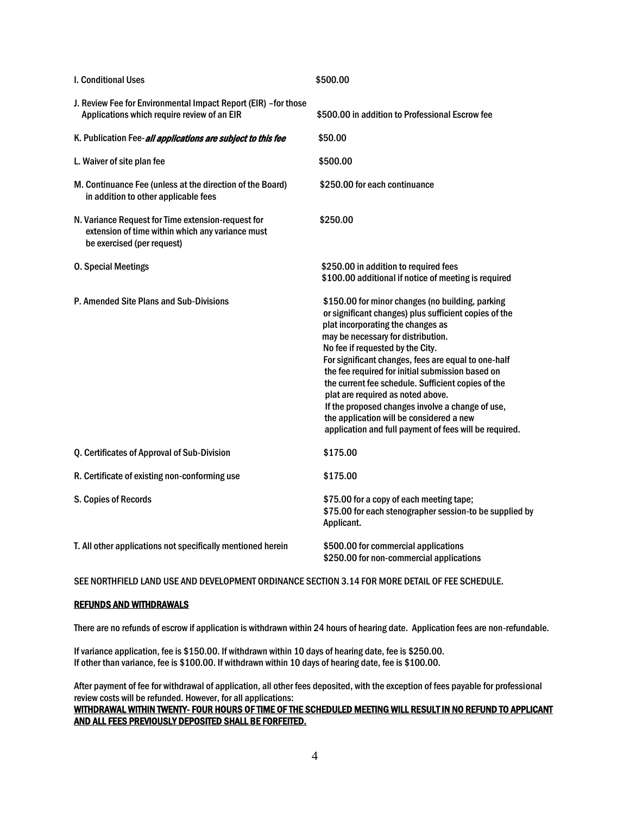| I. Conditional Uses                                                                                                                  | \$500.00                                                                                                                                                                                                                                                                                                                                                                                                                                                                                                                                                                                 |
|--------------------------------------------------------------------------------------------------------------------------------------|------------------------------------------------------------------------------------------------------------------------------------------------------------------------------------------------------------------------------------------------------------------------------------------------------------------------------------------------------------------------------------------------------------------------------------------------------------------------------------------------------------------------------------------------------------------------------------------|
| J. Review Fee for Environmental Impact Report (EIR) - for those<br>Applications which require review of an EIR                       | \$500.00 in addition to Professional Escrow fee                                                                                                                                                                                                                                                                                                                                                                                                                                                                                                                                          |
| K. Publication Fee-all applications are subject to this fee                                                                          | \$50.00                                                                                                                                                                                                                                                                                                                                                                                                                                                                                                                                                                                  |
| L. Waiver of site plan fee                                                                                                           | \$500.00                                                                                                                                                                                                                                                                                                                                                                                                                                                                                                                                                                                 |
| M. Continuance Fee (unless at the direction of the Board)<br>in addition to other applicable fees                                    | \$250.00 for each continuance                                                                                                                                                                                                                                                                                                                                                                                                                                                                                                                                                            |
| N. Variance Request for Time extension-request for<br>extension of time within which any variance must<br>be exercised (per request) | \$250.00                                                                                                                                                                                                                                                                                                                                                                                                                                                                                                                                                                                 |
| <b>0. Special Meetings</b>                                                                                                           | \$250.00 in addition to required fees<br>\$100.00 additional if notice of meeting is required                                                                                                                                                                                                                                                                                                                                                                                                                                                                                            |
| P. Amended Site Plans and Sub-Divisions                                                                                              | \$150.00 for minor changes (no building, parking<br>or significant changes) plus sufficient copies of the<br>plat incorporating the changes as<br>may be necessary for distribution.<br>No fee if requested by the City.<br>For significant changes, fees are equal to one-half<br>the fee required for initial submission based on<br>the current fee schedule. Sufficient copies of the<br>plat are required as noted above.<br>If the proposed changes involve a change of use,<br>the application will be considered a new<br>application and full payment of fees will be required. |
| Q. Certificates of Approval of Sub-Division                                                                                          | \$175.00                                                                                                                                                                                                                                                                                                                                                                                                                                                                                                                                                                                 |
| R. Certificate of existing non-conforming use                                                                                        | \$175.00                                                                                                                                                                                                                                                                                                                                                                                                                                                                                                                                                                                 |
| S. Copies of Records                                                                                                                 | \$75.00 for a copy of each meeting tape;<br>\$75.00 for each stenographer session-to be supplied by<br>Applicant.                                                                                                                                                                                                                                                                                                                                                                                                                                                                        |
| T. All other applications not specifically mentioned herein                                                                          | \$500.00 for commercial applications<br>\$250.00 for non-commercial applications                                                                                                                                                                                                                                                                                                                                                                                                                                                                                                         |

SEE NORTHFIELD LAND USE AND DEVELOPMENT ORDINANCE SECTION 3.14 FOR MORE DETAIL OF FEE SCHEDULE.

#### REFUNDS AND WITHDRAWALS

There are no refunds of escrow if application is withdrawn within 24 hours of hearing date. Application fees are non-refundable.

If variance application, fee is \$150.00. If withdrawn within 10 days of hearing date, fee is \$250.00. If other than variance, fee is \$100.00. If withdrawn within 10 days of hearing date, fee is \$100.00.

After payment of fee for withdrawal of application, all other fees deposited, with the exception of fees payable for professional review costs will be refunded. However, for all applications:

#### WITHDRAWAL WITHIN TWENTY- FOUR HOURS OF TIME OF THE SCHEDULED MEETING WILL RESULT IN NO REFUND TO APPLICANT AND ALL FEES PREVIOUSLY DEPOSITED SHALL BE FORFEITED.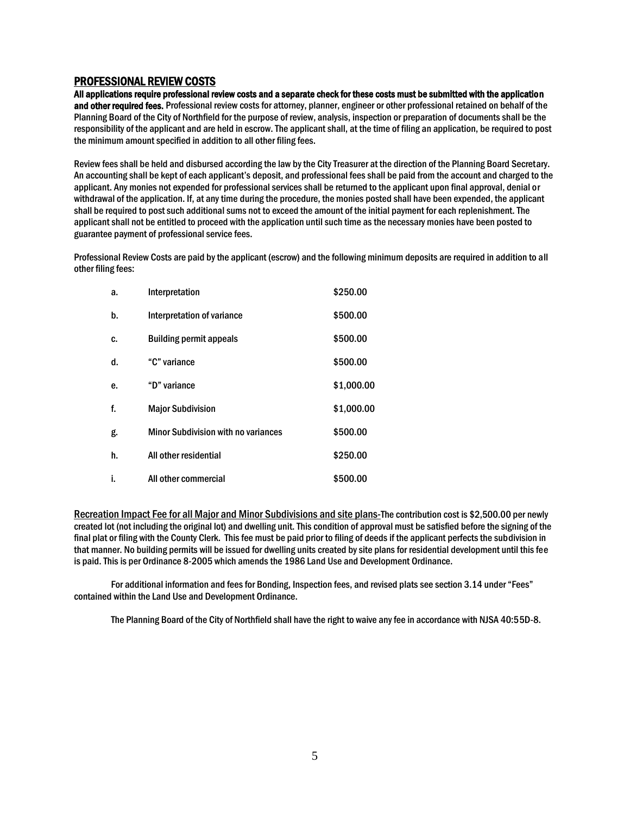#### PROFESSIONAL REVIEW COSTS

All applications require professional review costs and a separate check for these costs must be submitted with the application and other required fees. Professional review costs for attorney, planner, engineer or other professional retained on behalf of the Planning Board of the City of Northfield for the purpose of review, analysis, inspection or preparation of documents shall be the responsibility of the applicant and are held in escrow. The applicant shall, at the time of filing an application, be required to post the minimum amount specified in addition to all other filing fees.

Review fees shall be held and disbursed according the law by the City Treasurer at the direction of the Planning Board Secretary. An accounting shall be kept of each applicant's deposit, and professional fees shall be paid from the account and charged to the applicant. Any monies not expended for professional services shall be returned to the applicant upon final approval, denial or withdrawal of the application. If, at any time during the procedure, the monies posted shall have been expended, the applicant shall be required to post such additional sums not to exceed the amount of the initial payment for each replenishment. The applicant shall not be entitled to proceed with the application until such time as the necessary monies have been posted to guarantee payment of professional service fees.

Professional Review Costs are paid by the applicant (escrow) and the following minimum deposits are required in addition to all other filing fees:

| a. | Interpretation                             | \$250.00   |
|----|--------------------------------------------|------------|
| b. | Interpretation of variance                 | \$500.00   |
| C. | <b>Building permit appeals</b>             | \$500.00   |
| d. | "C" variance                               | \$500.00   |
| е. | "D" variance                               | \$1,000.00 |
| f. | <b>Major Subdivision</b>                   | \$1,000.00 |
| g. | <b>Minor Subdivision with no variances</b> | \$500.00   |
| h. | All other residential                      | \$250.00   |
| i. | All other commercial                       | \$500.00   |

Recreation Impact Fee for all Major and Minor Subdivisions and site plans-The contribution cost is \$2,500.00 per newly created lot (not including the original lot) and dwelling unit. This condition of approval must be satisfied before the signing of the final plat or filing with the County Clerk. This fee must be paid prior to filing of deeds if the applicant perfects the subdivision in that manner. No building permits will be issued for dwelling units created by site plans for residential development until this fee is paid. This is per Ordinance 8-2005 which amends the 1986 Land Use and Development Ordinance.

For additional information and fees for Bonding, Inspection fees, and revised plats see section 3.14 under "Fees" contained within the Land Use and Development Ordinance.

The Planning Board of the City of Northfield shall have the right to waive any fee in accordance with NJSA 40:55D-8.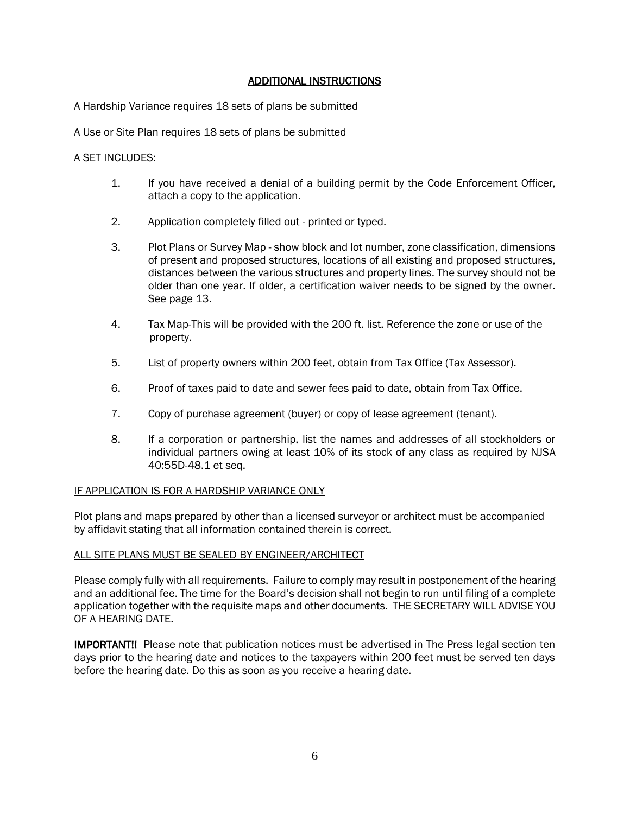# ADDITIONAL INSTRUCTIONS

A Hardship Variance requires 18 sets of plans be submitted

A Use or Site Plan requires 18 sets of plans be submitted

A SET INCLUDES:

- 1. If you have received a denial of a building permit by the Code Enforcement Officer, attach a copy to the application.
- 2. Application completely filled out printed or typed.
- 3. Plot Plans or Survey Map show block and lot number, zone classification, dimensions of present and proposed structures, locations of all existing and proposed structures, distances between the various structures and property lines. The survey should not be older than one year. If older, a certification waiver needs to be signed by the owner. See page 13.
- 4. Tax Map-This will be provided with the 200 ft. list. Reference the zone or use of the property.
- 5. List of property owners within 200 feet, obtain from Tax Office (Tax Assessor).
- 6. Proof of taxes paid to date and sewer fees paid to date, obtain from Tax Office.
- 7. Copy of purchase agreement (buyer) or copy of lease agreement (tenant).
- 8. If a corporation or partnership, list the names and addresses of all stockholders or individual partners owing at least 10% of its stock of any class as required by NJSA 40:55D-48.1 et seq.

#### IF APPLICATION IS FOR A HARDSHIP VARIANCE ONLY

Plot plans and maps prepared by other than a licensed surveyor or architect must be accompanied by affidavit stating that all information contained therein is correct.

#### ALL SITE PLANS MUST BE SEALED BY ENGINEER/ARCHITECT

Please comply fully with all requirements. Failure to comply may result in postponement of the hearing and an additional fee. The time for the Board's decision shall not begin to run until filing of a complete application together with the requisite maps and other documents. THE SECRETARY WILL ADVISE YOU OF A HEARING DATE.

IMPORTANT!! Please note that publication notices must be advertised in The Press legal section ten days prior to the hearing date and notices to the taxpayers within 200 feet must be served ten days before the hearing date. Do this as soon as you receive a hearing date.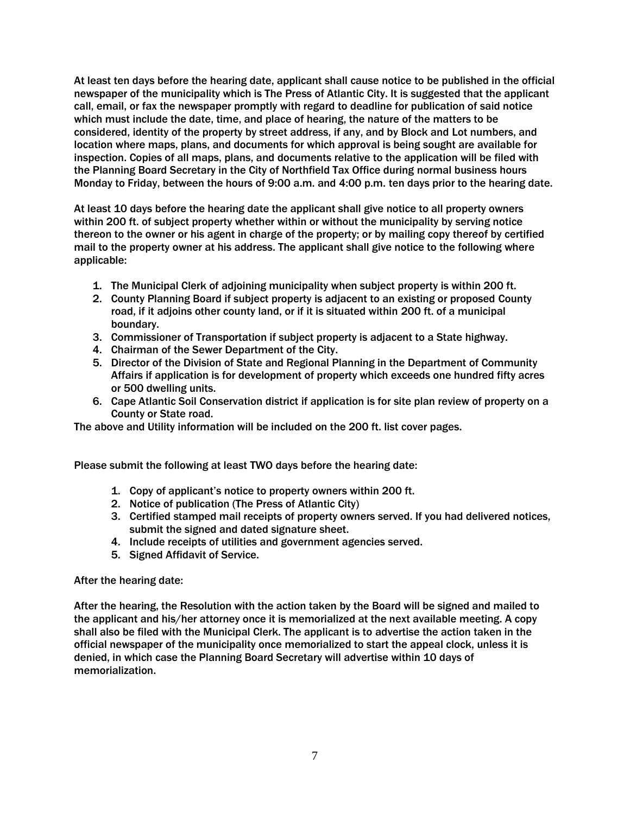At least ten days before the hearing date, applicant shall cause notice to be published in the official newspaper of the municipality which is The Press of Atlantic City. It is suggested that the applicant call, email, or fax the newspaper promptly with regard to deadline for publication of said notice which must include the date, time, and place of hearing, the nature of the matters to be considered, identity of the property by street address, if any, and by Block and Lot numbers, and location where maps, plans, and documents for which approval is being sought are available for inspection. Copies of all maps, plans, and documents relative to the application will be filed with the Planning Board Secretary in the City of Northfield Tax Office during normal business hours Monday to Friday, between the hours of 9:00 a.m. and 4:00 p.m. ten days prior to the hearing date.

At least 10 days before the hearing date the applicant shall give notice to all property owners within 200 ft. of subject property whether within or without the municipality by serving notice thereon to the owner or his agent in charge of the property; or by mailing copy thereof by certified mail to the property owner at his address. The applicant shall give notice to the following where applicable:

- 1. The Municipal Clerk of adjoining municipality when subject property is within 200 ft.
- 2. County Planning Board if subject property is adjacent to an existing or proposed County road, if it adjoins other county land, or if it is situated within 200 ft. of a municipal boundary.
- 3. Commissioner of Transportation if subject property is adjacent to a State highway.
- 4. Chairman of the Sewer Department of the City.
- 5. Director of the Division of State and Regional Planning in the Department of Community Affairs if application is for development of property which exceeds one hundred fifty acres or 500 dwelling units.
- 6. Cape Atlantic Soil Conservation district if application is for site plan review of property on a County or State road.

The above and Utility information will be included on the 200 ft. list cover pages.

Please submit the following at least TWO days before the hearing date:

- 1. Copy of applicant's notice to property owners within 200 ft.
- 2. Notice of publication (The Press of Atlantic City)
- 3. Certified stamped mail receipts of property owners served. If you had delivered notices, submit the signed and dated signature sheet.
- 4. Include receipts of utilities and government agencies served.
- 5. Signed Affidavit of Service.

#### After the hearing date:

After the hearing, the Resolution with the action taken by the Board will be signed and mailed to the applicant and his/her attorney once it is memorialized at the next available meeting. A copy shall also be filed with the Municipal Clerk. The applicant is to advertise the action taken in the official newspaper of the municipality once memorialized to start the appeal clock, unless it is denied, in which case the Planning Board Secretary will advertise within 10 days of memorialization.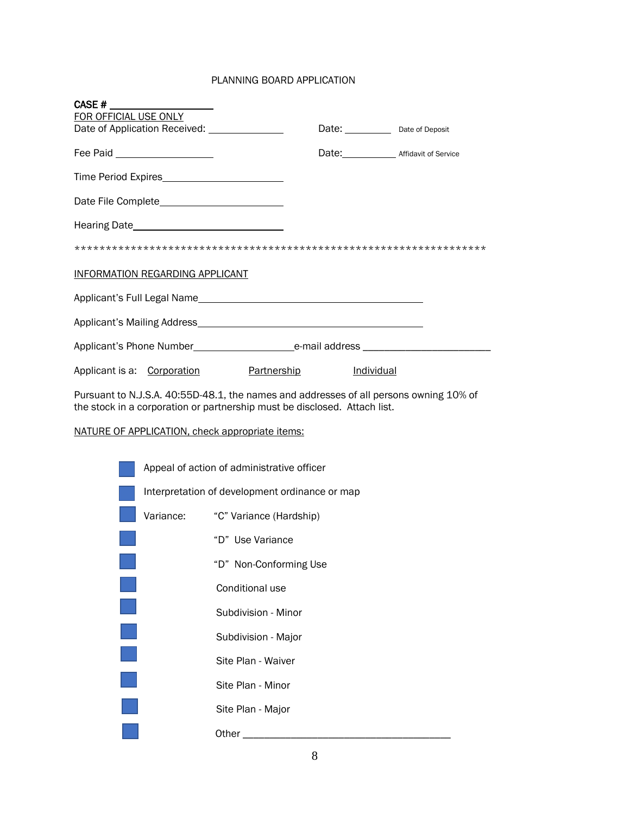#### PLANNING BOARD APPLICATION

| CASE#                                                                                                                                                               |                                                 |  |                                              |  |
|---------------------------------------------------------------------------------------------------------------------------------------------------------------------|-------------------------------------------------|--|----------------------------------------------|--|
| FOR OFFICIAL USE ONLY                                                                                                                                               |                                                 |  |                                              |  |
|                                                                                                                                                                     | Date of Application Received: _______________   |  |                                              |  |
|                                                                                                                                                                     | Fee Paid ____________________                   |  | Date: _________________ Affidavit of Service |  |
|                                                                                                                                                                     |                                                 |  |                                              |  |
|                                                                                                                                                                     |                                                 |  |                                              |  |
|                                                                                                                                                                     |                                                 |  |                                              |  |
|                                                                                                                                                                     |                                                 |  |                                              |  |
|                                                                                                                                                                     | INFORMATION REGARDING APPLICANT                 |  |                                              |  |
|                                                                                                                                                                     | Applicant's Full Legal Name                     |  |                                              |  |
|                                                                                                                                                                     |                                                 |  |                                              |  |
|                                                                                                                                                                     |                                                 |  |                                              |  |
|                                                                                                                                                                     | Applicant is a: Corporation <b>Partnership</b>  |  | <b>Individual</b>                            |  |
| Pursuant to N.J.S.A. 40:55D-48.1, the names and addresses of all persons owning 10% of<br>the stock in a corporation or partnership must be disclosed. Attach list. |                                                 |  |                                              |  |
|                                                                                                                                                                     | NATURE OF APPLICATION, check appropriate items: |  |                                              |  |
|                                                                                                                                                                     | Appeal of action of administrative officer      |  |                                              |  |
|                                                                                                                                                                     | Interpretation of development ordinance or map  |  |                                              |  |

|           | Interpretation of development ordinance or map |
|-----------|------------------------------------------------|
| Variance: | "C" Variance (Hardship)                        |
|           | "D" Use Variance                               |
|           | "D" Non-Conforming Use                         |
|           | Conditional use                                |
|           | Subdivision - Minor                            |
|           | Subdivision - Major                            |
|           | Site Plan - Waiver                             |
|           | Site Plan - Minor                              |
|           | Site Plan - Major                              |
|           | Other                                          |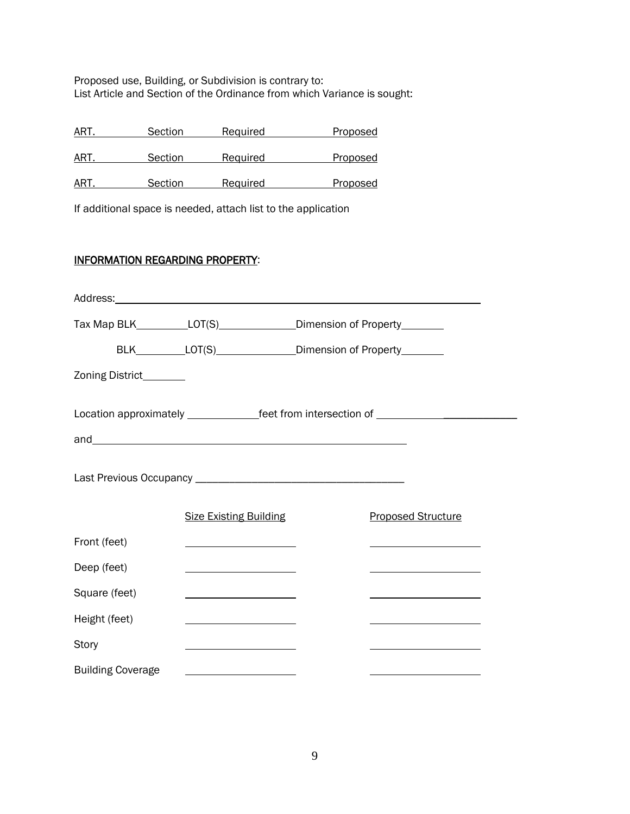Proposed use, Building, or Subdivision is contrary to: List Article and Section of the Ordinance from which Variance is sought:

| ART | Section | Required | Proposed |
|-----|---------|----------|----------|
| ART | Section | Required | Proposed |
| ART | Section | Required | Proposed |

If additional space is needed, attach list to the application

# INFORMATION REGARDING PROPERTY:

|                          | Address: Address:                                                                                                     |                                                                                  |
|--------------------------|-----------------------------------------------------------------------------------------------------------------------|----------------------------------------------------------------------------------|
|                          | Tax Map BLK____________LOT(S)_________________Dimension of Property__________                                         |                                                                                  |
|                          | BLK__________LOT(S)________________Dimension of Property_________                                                     |                                                                                  |
| Zoning District_______   |                                                                                                                       |                                                                                  |
|                          |                                                                                                                       | Location approximately ________________feet from intersection of _______________ |
|                          |                                                                                                                       |                                                                                  |
|                          | <b>Size Existing Building</b>                                                                                         | <b>Proposed Structure</b>                                                        |
| Front (feet)             |                                                                                                                       |                                                                                  |
| Deep (feet)              |                                                                                                                       |                                                                                  |
| Square (feet)            | <u> 1980 - Johann Barbara, martin a</u>                                                                               |                                                                                  |
| Height (feet)            |                                                                                                                       |                                                                                  |
| Story                    | <u> 1989 - Andrea Barbara, margaret e populazion del proprio del proprio del proprio del proprio del proprio del </u> |                                                                                  |
| <b>Building Coverage</b> |                                                                                                                       |                                                                                  |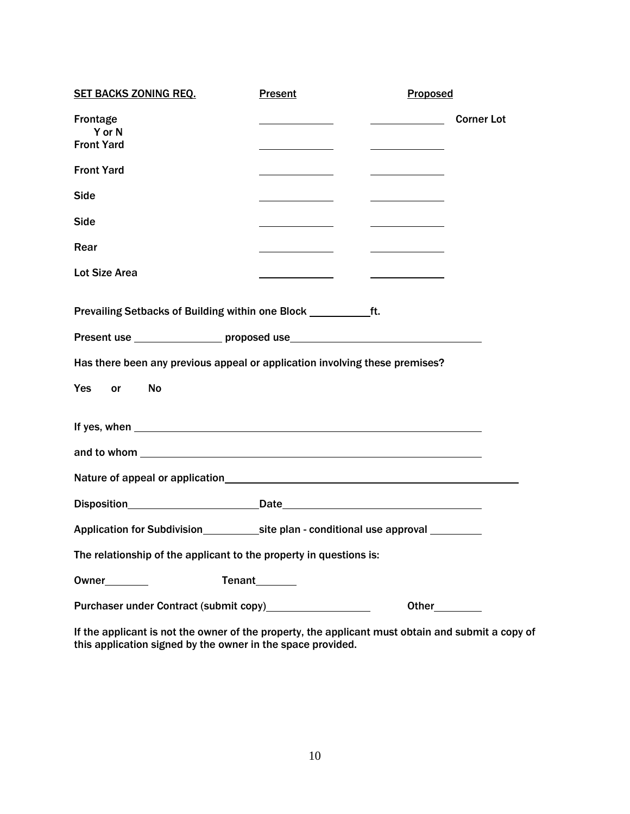| <b>SET BACKS ZONING REQ.</b>                                                                                                                                                                                                   | <b>Present</b>               | Proposed       |                   |
|--------------------------------------------------------------------------------------------------------------------------------------------------------------------------------------------------------------------------------|------------------------------|----------------|-------------------|
| Frontage<br>Y or N<br><b>Front Yard</b>                                                                                                                                                                                        | $\sim$ 100 $\sim$ 100 $\sim$ |                | <b>Corner Lot</b> |
| <b>Front Yard</b>                                                                                                                                                                                                              |                              |                |                   |
| <b>Side</b>                                                                                                                                                                                                                    |                              |                |                   |
| Side                                                                                                                                                                                                                           |                              |                |                   |
| Rear                                                                                                                                                                                                                           |                              |                |                   |
| <b>Lot Size Area</b>                                                                                                                                                                                                           |                              |                |                   |
|                                                                                                                                                                                                                                |                              |                |                   |
| Present use _______________________proposed use_________________________________                                                                                                                                               |                              |                |                   |
| Has there been any previous appeal or application involving these premises?                                                                                                                                                    |                              |                |                   |
| <b>Yes</b><br>No<br>or                                                                                                                                                                                                         |                              |                |                   |
|                                                                                                                                                                                                                                |                              |                |                   |
| and to whom such a series and to whom such a series of the series of the series of the series of the series of the series of the series of the series of the series of the series of the series of the series of the series of |                              |                |                   |
|                                                                                                                                                                                                                                |                              |                |                   |
|                                                                                                                                                                                                                                |                              |                |                   |
|                                                                                                                                                                                                                                |                              |                |                   |
| The relationship of the applicant to the property in questions is:                                                                                                                                                             |                              |                |                   |
| $0$ wner $\_\_$                                                                                                                                                                                                                | Tenant <sub>2</sub>          |                |                   |
| Purchaser under Contract (submit copy) Purchaser under Contract (submit copy)                                                                                                                                                  |                              | Other_________ |                   |

If the applicant is not the owner of the property, the applicant must obtain and submit a copy of this application signed by the owner in the space provided.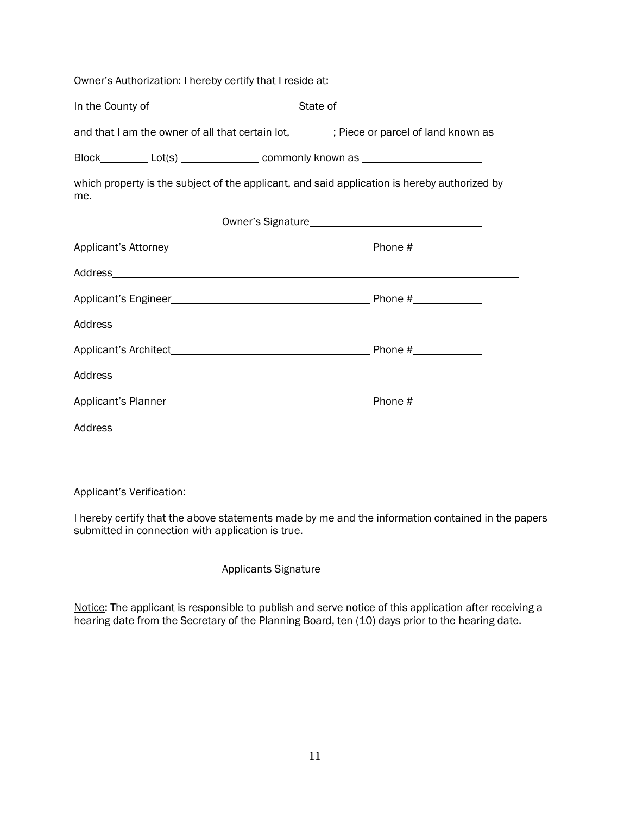| Owner's Authorization: I hereby certify that I reside at: |                                                                                              |
|-----------------------------------------------------------|----------------------------------------------------------------------------------------------|
|                                                           |                                                                                              |
|                                                           | and that I am the owner of all that certain lot, ________; Piece or parcel of land known as  |
|                                                           | Block____________Lot(s) __________________ commonly known as ___________________             |
| me.                                                       | which property is the subject of the applicant, and said application is hereby authorized by |
|                                                           |                                                                                              |
|                                                           |                                                                                              |
|                                                           |                                                                                              |
|                                                           |                                                                                              |
|                                                           |                                                                                              |
|                                                           |                                                                                              |
|                                                           |                                                                                              |
|                                                           |                                                                                              |
| Address                                                   |                                                                                              |

Applicant's Verification:

I hereby certify that the above statements made by me and the information contained in the papers submitted in connection with application is true.

Applicants Signature

Notice: The applicant is responsible to publish and serve notice of this application after receiving a hearing date from the Secretary of the Planning Board, ten (10) days prior to the hearing date.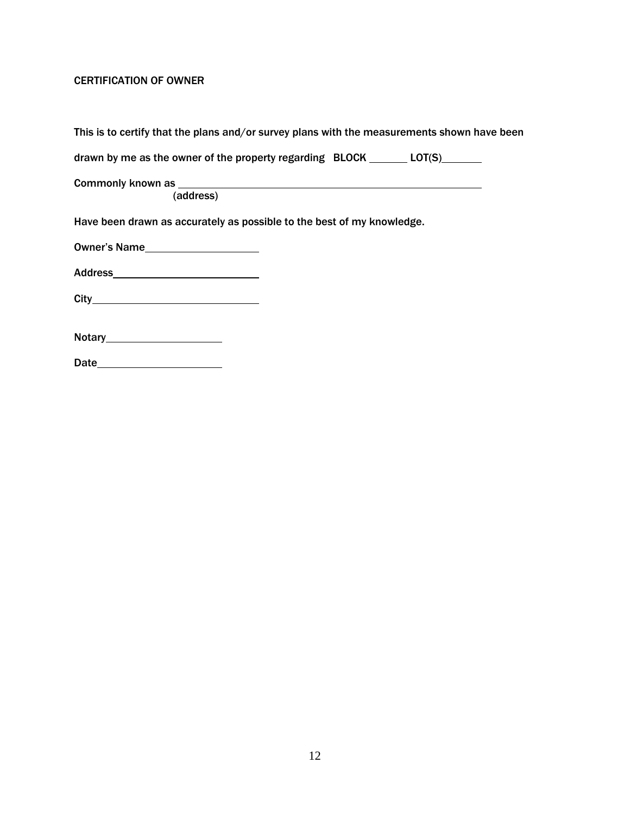# CERTIFICATION OF OWNER

|                                                                        | This is to certify that the plans and/or survey plans with the measurements shown have been |
|------------------------------------------------------------------------|---------------------------------------------------------------------------------------------|
|                                                                        | drawn by me as the owner of the property regarding $BLOCK$ ________ LOT(S) ________         |
|                                                                        |                                                                                             |
| (address)                                                              |                                                                                             |
| Have been drawn as accurately as possible to the best of my knowledge. |                                                                                             |
|                                                                        |                                                                                             |
|                                                                        |                                                                                             |
|                                                                        |                                                                                             |
|                                                                        |                                                                                             |
|                                                                        |                                                                                             |
| Date                                                                   |                                                                                             |
|                                                                        |                                                                                             |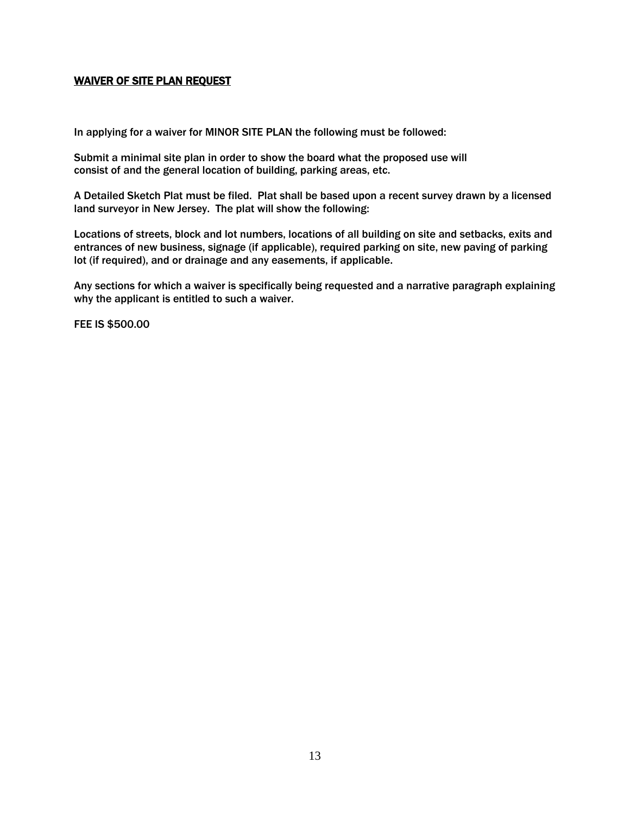## WAIVER OF SITE PLAN REQUEST

In applying for a waiver for MINOR SITE PLAN the following must be followed:

Submit a minimal site plan in order to show the board what the proposed use will consist of and the general location of building, parking areas, etc.

A Detailed Sketch Plat must be filed. Plat shall be based upon a recent survey drawn by a licensed land surveyor in New Jersey. The plat will show the following:

Locations of streets, block and lot numbers, locations of all building on site and setbacks, exits and entrances of new business, signage (if applicable), required parking on site, new paving of parking lot (if required), and or drainage and any easements, if applicable.

Any sections for which a waiver is specifically being requested and a narrative paragraph explaining why the applicant is entitled to such a waiver.

FEE IS \$500.00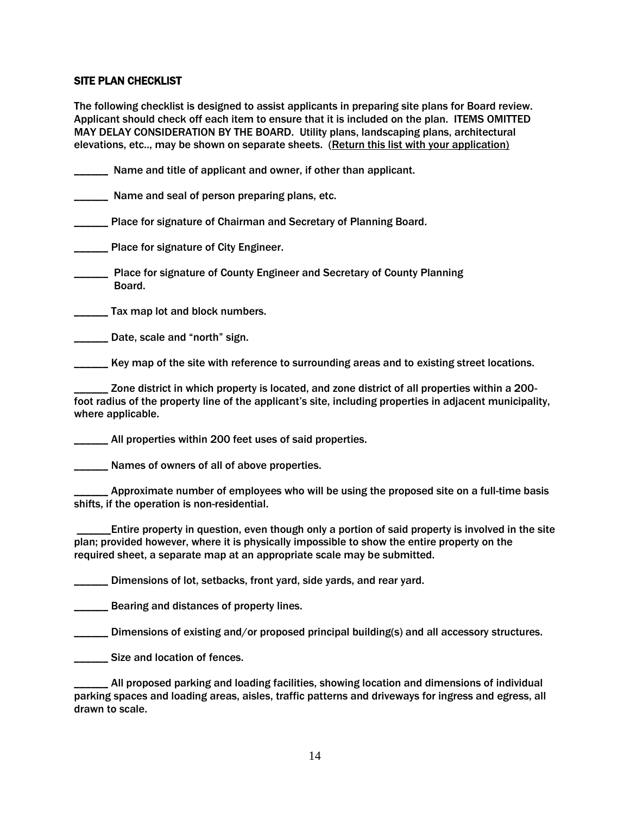#### SITE PLAN CHECKLIST

The following checklist is designed to assist applicants in preparing site plans for Board review. Applicant should check off each item to ensure that it is included on the plan. ITEMS OMITTED MAY DELAY CONSIDERATION BY THE BOARD. Utility plans, landscaping plans, architectural elevations, etc.., may be shown on separate sheets. (Return this list with your application)

\_\_\_\_\_\_ Name and title of applicant and owner, if other than applicant.

**Name and seal of person preparing plans, etc.** 

Place for signature of Chairman and Secretary of Planning Board.

**\_\_\_\_\_\_** Place for signature of City Engineer.

\_\_\_\_\_\_ Place for signature of County Engineer and Secretary of County Planning Board.

**EXAMED Tax map lot and block numbers.** 

**LETTE:** Date, scale and "north" sign.

Key map of the site with reference to surrounding areas and to existing street locations.

Zone district in which property is located, and zone district of all properties within a 200foot radius of the property line of the applicant's site, including properties in adjacent municipality, where applicable.

\_\_\_\_\_\_ All properties within 200 feet uses of said properties.

Names of owners of all of above properties.

Approximate number of employees who will be using the proposed site on a full-time basis shifts, if the operation is non-residential.

\_\_\_\_\_\_Entire property in question, even though only a portion of said property is involved in the site plan; provided however, where it is physically impossible to show the entire property on the required sheet, a separate map at an appropriate scale may be submitted.

\_\_\_\_\_\_ Dimensions of lot, setbacks, front yard, side yards, and rear yard.

Bearing and distances of property lines.

\_\_\_\_\_\_ Dimensions of existing and/or proposed principal building(s) and all accessory structures.

**\_\_\_\_\_\_\_ Size and location of fences.** 

\_\_\_\_\_\_ All proposed parking and loading facilities, showing location and dimensions of individual parking spaces and loading areas, aisles, traffic patterns and driveways for ingress and egress, all drawn to scale.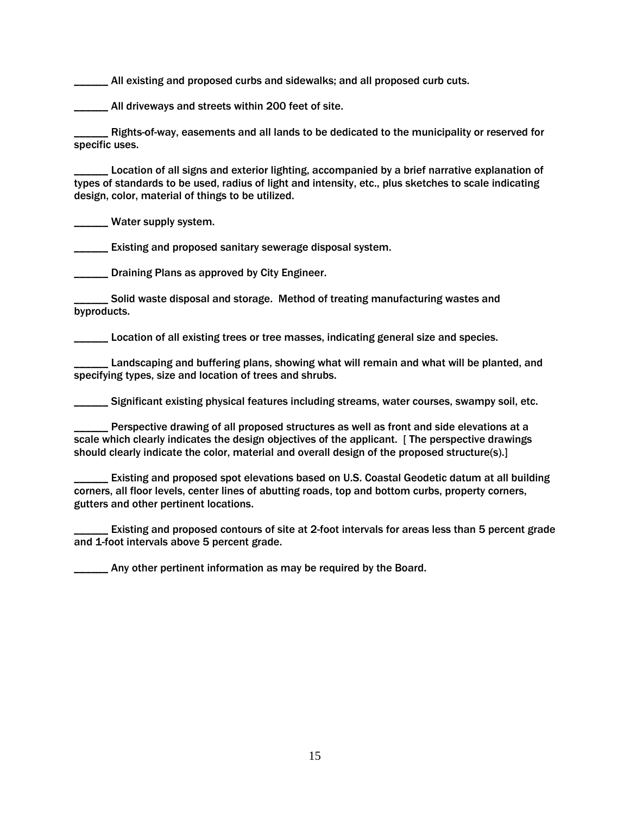All existing and proposed curbs and sidewalks; and all proposed curb cuts.

\_\_\_\_\_\_ All driveways and streets within 200 feet of site.

\_\_\_\_\_\_ Rights-of-way, easements and all lands to be dedicated to the municipality or reserved for specific uses.

Location of all signs and exterior lighting, accompanied by a brief narrative explanation of types of standards to be used, radius of light and intensity, etc., plus sketches to scale indicating design, color, material of things to be utilized.

Water supply system.

**\_\_\_\_\_\_** Existing and proposed sanitary sewerage disposal system.

**EXECUTE:** Draining Plans as approved by City Engineer.

\_\_\_\_\_\_ Solid waste disposal and storage. Method of treating manufacturing wastes and byproducts.

\_\_\_\_\_\_ Location of all existing trees or tree masses, indicating general size and species.

Landscaping and buffering plans, showing what will remain and what will be planted, and specifying types, size and location of trees and shrubs.

\_\_\_\_\_\_ Significant existing physical features including streams, water courses, swampy soil, etc.

Perspective drawing of all proposed structures as well as front and side elevations at a scale which clearly indicates the design objectives of the applicant. [ The perspective drawings should clearly indicate the color, material and overall design of the proposed structure(s).]

\_\_\_\_\_\_ Existing and proposed spot elevations based on U.S. Coastal Geodetic datum at all building corners, all floor levels, center lines of abutting roads, top and bottom curbs, property corners, gutters and other pertinent locations.

Existing and proposed contours of site at 2-foot intervals for areas less than 5 percent grade and 1-foot intervals above 5 percent grade.

Any other pertinent information as may be required by the Board.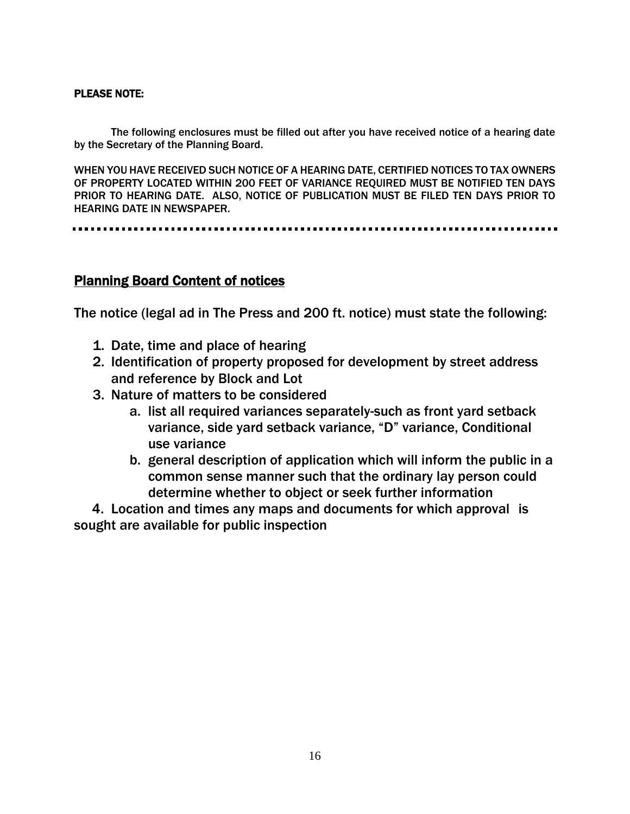# PLEASE NOTE:

The following enclosures must be filled out after you have received notice of a hearing date by the Secretary of the Planning Board.

WHEN YOU HAVE RECEIVED SUCH NOTICE OF A HEARING DATE, CERTIFIED NOTICES TO TAX OWNERS OF PROPERTY LOCATED WITHIN 200 FEET OF VARIANCE REQUIRED MUST BE NOTIFIED TEN DAYS PRIOR TO HEARING DATE. ALSO, NOTICE OF PUBLICATION MUST BE FILED TEN DAYS PRIOR TO HEARING DATE IN NEWSPAPER.

# Planning Board Content of notices

The notice (legal ad in The Press and 200 ft. notice) must state the following:

- 1. Date, time and place of hearing
- 2. Identification of property proposed for development by street address and reference by Block and Lot
- 3. Nature of matters to be considered
	- a. list all required variances separately-such as front yard setback variance, side yard setback variance, "D" variance, Conditional use variance
	- b. general description of application which will inform the public in a common sense manner such that the ordinary lay person could determine whether to object or seek further information

 4. Location and times any maps and documents for which approval is sought are available for public inspection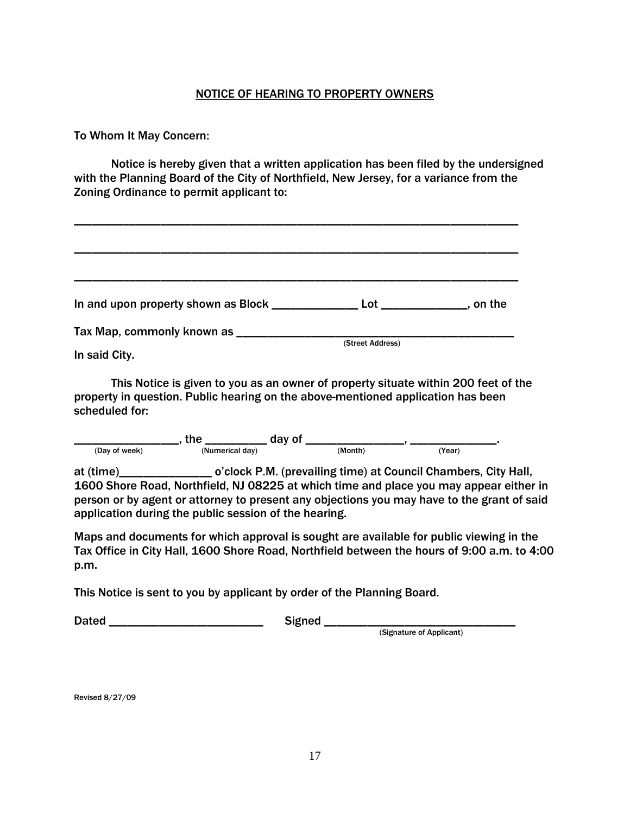# NOTICE OF HEARING TO PROPERTY OWNERS

# To Whom It May Concern:

Notice is hereby given that a written application has been filed by the undersigned with the Planning Board of the City of Northfield, New Jersey, for a variance from the Zoning Ordinance to permit applicant to:

| In and upon property shown as Block _______ | $\mathsf{Lot} \hspace{0.05cm} \longrightarrow$ | , on the |
|---------------------------------------------|------------------------------------------------|----------|
|                                             |                                                |          |
| Tax Map, commonly known as ____             |                                                |          |
|                                             | (Street Address)                               |          |
| In said City.                               |                                                |          |

This Notice is given to you as an owner of property situate within 200 feet of the property in question. Public hearing on the above-mentioned application has been scheduled for:

\_\_\_\_\_\_\_\_\_\_\_\_\_\_\_\_\_\_\_\_, the \_\_\_\_\_\_\_\_\_\_\_\_ day of \_\_\_\_\_\_\_\_\_\_\_\_\_\_\_\_\_\_\_\_\_\_\_\_\_\_\_\_\_\_\_\_\_\_ (Day of week) (Numerical day) (Month) (Year)

at (time)\_\_\_\_\_\_\_\_\_\_\_\_\_\_\_ o'clock P.M. (prevailing time) at Council Chambers, City Hall, 1600 Shore Road, Northfield, NJ 08225 at which time and place you may appear either in person or by agent or attorney to present any objections you may have to the grant of said application during the public session of the hearing.

Maps and documents for which approval is sought are available for public viewing in the Tax Office in City Hall, 1600 Shore Road, Northfield between the hours of 9:00 a.m. to 4:00 p.m.

This Notice is sent to you by applicant by order of the Planning Board.

Dated \_\_\_\_\_\_\_\_\_\_\_\_\_\_\_\_\_\_\_\_\_\_\_\_\_ Signed \_\_\_\_\_\_\_\_\_\_\_\_\_\_\_\_\_\_\_\_\_\_\_\_\_\_\_\_\_\_\_

(Signature of Applicant)

Revised 8/27/09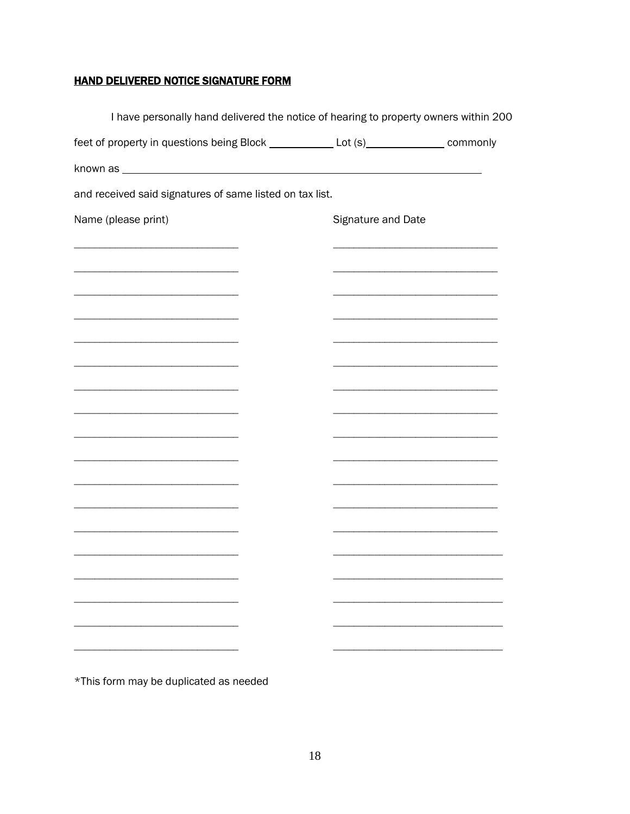# **HAND DELIVERED NOTICE SIGNATURE FORM**

| I have personally hand delivered the notice of hearing to property owners within 200    |  |                    |  |
|-----------------------------------------------------------------------------------------|--|--------------------|--|
| feet of property in questions being Block _____________ Lot (s)_______________ commonly |  |                    |  |
|                                                                                         |  |                    |  |
| and received said signatures of same listed on tax list.                                |  |                    |  |
| Name (please print)                                                                     |  | Signature and Date |  |
|                                                                                         |  |                    |  |
|                                                                                         |  |                    |  |
|                                                                                         |  |                    |  |
|                                                                                         |  |                    |  |
|                                                                                         |  |                    |  |
|                                                                                         |  |                    |  |
|                                                                                         |  |                    |  |
|                                                                                         |  |                    |  |
|                                                                                         |  |                    |  |
|                                                                                         |  |                    |  |
|                                                                                         |  |                    |  |
|                                                                                         |  |                    |  |
| <u> 1989 - Johann Barbara, martxa alemani</u> ar alemania                               |  |                    |  |
|                                                                                         |  |                    |  |
|                                                                                         |  |                    |  |
|                                                                                         |  |                    |  |
|                                                                                         |  |                    |  |
|                                                                                         |  |                    |  |

\*This form may be duplicated as needed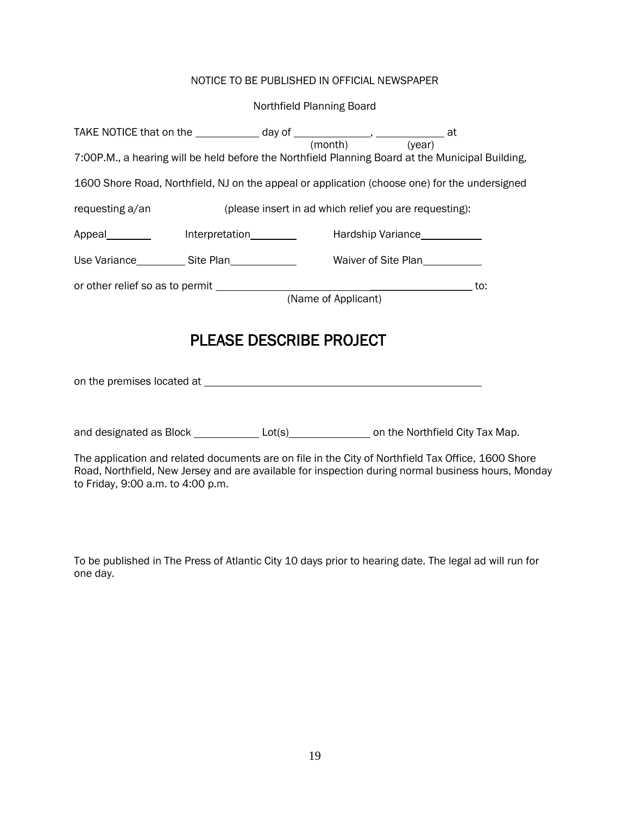# NOTICE TO BE PUBLISHED IN OFFICIAL NEWSPAPER

#### Northfield Planning Board

| TAKE NOTICE that on the $\_\_\_\_\_\_\_\_\$ day of $\_\_\_\_\_\_\_\_\_\_\_\_\_\_\_\_\_\_\_\_\_\_\_\_\_\_\_\_\_\_\_$ at<br>7:00P.M., a hearing will be held before the Northfield Planning Board at the Municipal Building,                    |  |  |  |  |
|-----------------------------------------------------------------------------------------------------------------------------------------------------------------------------------------------------------------------------------------------|--|--|--|--|
| 1600 Shore Road, Northfield, NJ on the appeal or application (choose one) for the undersigned                                                                                                                                                 |  |  |  |  |
| requesting a/an<br>(please insert in ad which relief you are requesting):                                                                                                                                                                     |  |  |  |  |
|                                                                                                                                                                                                                                               |  |  |  |  |
|                                                                                                                                                                                                                                               |  |  |  |  |
|                                                                                                                                                                                                                                               |  |  |  |  |
| <b>PLEASE DESCRIBE PROJECT</b>                                                                                                                                                                                                                |  |  |  |  |
|                                                                                                                                                                                                                                               |  |  |  |  |
| and designated as Block _______________Lot(s)____________________on the Northfield City Tax Map.                                                                                                                                              |  |  |  |  |
| The application and related documents are on file in the City of Northfield Tax Office, 1600 Shore<br>Road, Northfield, New Jersey and are available for inspection during normal business hours, Monday<br>to Friday, 9:00 a.m. to 4:00 p.m. |  |  |  |  |

To be published in The Press of Atlantic City 10 days prior to hearing date. The legal ad will run for one day.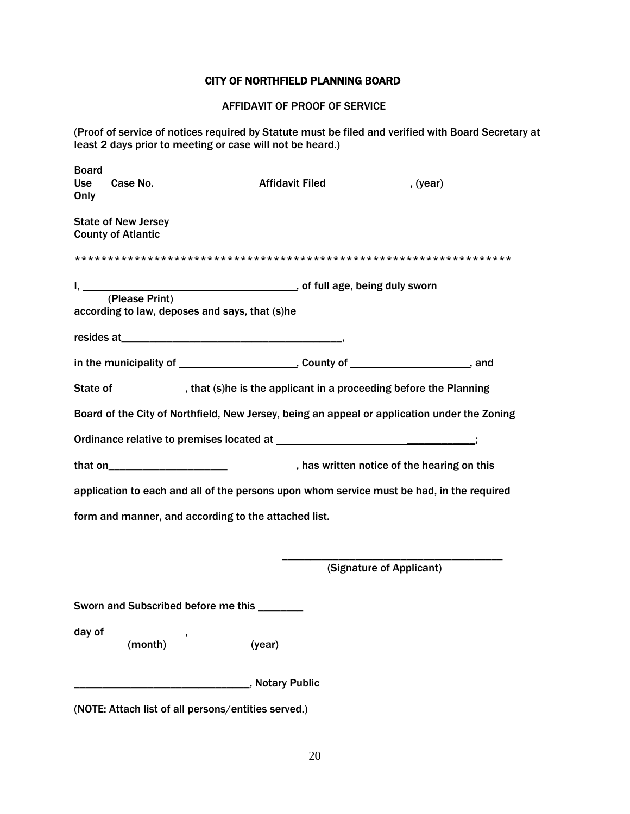### CITY OF NORTHFIELD PLANNING BOARD

#### AFFIDAVIT OF PROOF OF SERVICE

(Proof of service of notices required by Statute must be filed and verified with Board Secretary at least 2 days prior to meeting or case will not be heard.)

| <b>Board</b> |                                                         |                                                                                                                |                                                                                              |
|--------------|---------------------------------------------------------|----------------------------------------------------------------------------------------------------------------|----------------------------------------------------------------------------------------------|
| Use<br>Only  | Case No.                                                | Affidavit Filed ________________, (year)_______                                                                |                                                                                              |
|              | <b>State of New Jersey</b><br><b>County of Atlantic</b> |                                                                                                                |                                                                                              |
|              |                                                         |                                                                                                                |                                                                                              |
|              | according to law, deposes and says, that (s)he          |                                                                                                                |                                                                                              |
|              |                                                         | resides at the contract of the contract of the contract of the contract of the contract of the contract of the |                                                                                              |
|              |                                                         |                                                                                                                |                                                                                              |
|              |                                                         | State of _____________, that (s)he is the applicant in a proceeding before the Planning                        |                                                                                              |
|              |                                                         |                                                                                                                | Board of the City of Northfield, New Jersey, being an appeal or application under the Zoning |
|              |                                                         |                                                                                                                |                                                                                              |
|              |                                                         |                                                                                                                |                                                                                              |
|              |                                                         |                                                                                                                | application to each and all of the persons upon whom service must be had, in the required    |
|              |                                                         | form and manner, and according to the attached list.                                                           |                                                                                              |
|              |                                                         |                                                                                                                | (Signature of Applicant)                                                                     |
|              | Sworn and Subscribed before me this _______             |                                                                                                                |                                                                                              |
|              | (month)                                                 | (year)                                                                                                         |                                                                                              |

(NOTE: Attach list of all persons/entities served.)

\_\_\_\_\_\_\_\_\_\_\_\_\_\_\_\_\_\_\_\_\_\_\_\_\_\_\_\_\_\_\_, Notary Public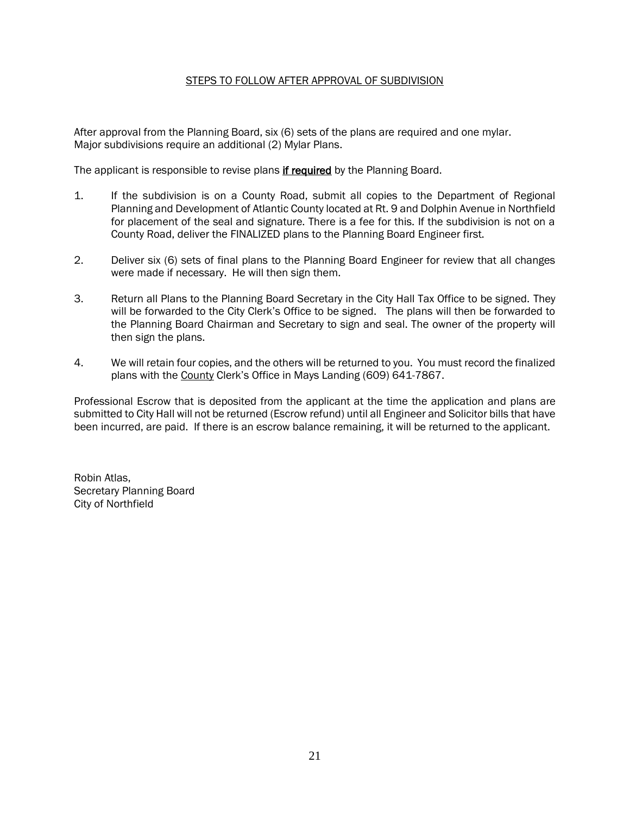#### STEPS TO FOLLOW AFTER APPROVAL OF SUBDIVISION

After approval from the Planning Board, six (6) sets of the plans are required and one mylar. Major subdivisions require an additional (2) Mylar Plans.

The applicant is responsible to revise plans if required by the Planning Board.

- 1. If the subdivision is on a County Road, submit all copies to the Department of Regional Planning and Development of Atlantic County located at Rt. 9 and Dolphin Avenue in Northfield for placement of the seal and signature. There is a fee for this. If the subdivision is not on a County Road, deliver the FINALIZED plans to the Planning Board Engineer first.
- 2. Deliver six (6) sets of final plans to the Planning Board Engineer for review that all changes were made if necessary. He will then sign them.
- 3. Return all Plans to the Planning Board Secretary in the City Hall Tax Office to be signed. They will be forwarded to the City Clerk's Office to be signed. The plans will then be forwarded to the Planning Board Chairman and Secretary to sign and seal. The owner of the property will then sign the plans.
- 4. We will retain four copies, and the others will be returned to you. You must record the finalized plans with the County Clerk's Office in Mays Landing (609) 641-7867.

Professional Escrow that is deposited from the applicant at the time the application and plans are submitted to City Hall will not be returned (Escrow refund) until all Engineer and Solicitor bills that have been incurred, are paid. If there is an escrow balance remaining, it will be returned to the applicant.

Robin Atlas, Secretary Planning Board City of Northfield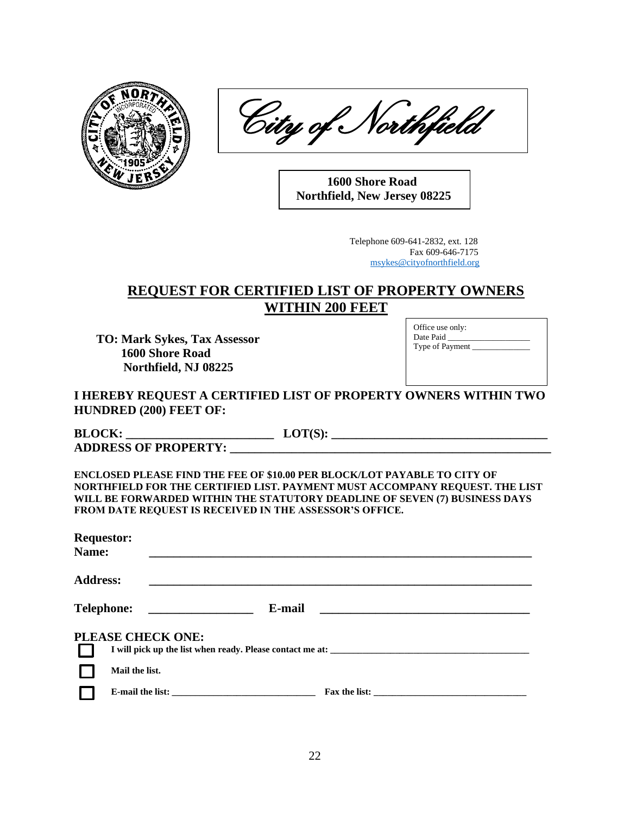

City of Northfield

 **1600 Shore Road Northfield, New Jersey 08225**

> Telephone 609-641-2832, ext. 128 Fax 609-646-7175 [msykes@cityofnorthfield.org](mailto:ratlas@cityofnorthfield.org)

# **REQUEST FOR CERTIFIED LIST OF PROPERTY OWNERS WITHIN 200 FEET**

**TO: Mark Sykes, Tax Assessor 1600 Shore Road Northfield, NJ 08225**

Office use only: Date Paid Type of Payment \_\_\_\_\_\_\_\_\_\_\_\_\_\_

# **I HEREBY REQUEST A CERTIFIED LIST OF PROPERTY OWNERS WITHIN TWO HUNDRED (200) FEET OF:**

| <b>BLOCK:</b>               |  |
|-----------------------------|--|
| <b>ADDRESS OF PROPERTY:</b> |  |

**ENCLOSED PLEASE FIND THE FEE OF \$10.00 PER BLOCK/LOT PAYABLE TO CITY OF NORTHFIELD FOR THE CERTIFIED LIST. PAYMENT MUST ACCOMPANY REQUEST. THE LIST WILL BE FORWARDED WITHIN THE STATUTORY DEADLINE OF SEVEN (7) BUSINESS DAYS FROM DATE REQUEST IS RECEIVED IN THE ASSESSOR'S OFFICE.**

| <b>Requestor:</b><br>Name: |                                                                                                                                                                                                                               |  |  |
|----------------------------|-------------------------------------------------------------------------------------------------------------------------------------------------------------------------------------------------------------------------------|--|--|
| <b>Address:</b>            | the control of the control of the control of the control of the control of the control of the control of the control of the control of the control of the control of the control of the control of the control of the control |  |  |
|                            | Telephone: ___________________<br>E-mail                                                                                                                                                                                      |  |  |
|                            | PLEASE CHECK ONE:                                                                                                                                                                                                             |  |  |
|                            | I will pick up the list when ready. Please contact me at: _______________________                                                                                                                                             |  |  |
|                            | Mail the list.                                                                                                                                                                                                                |  |  |
|                            | Fax the list:                                                                                                                                                                                                                 |  |  |